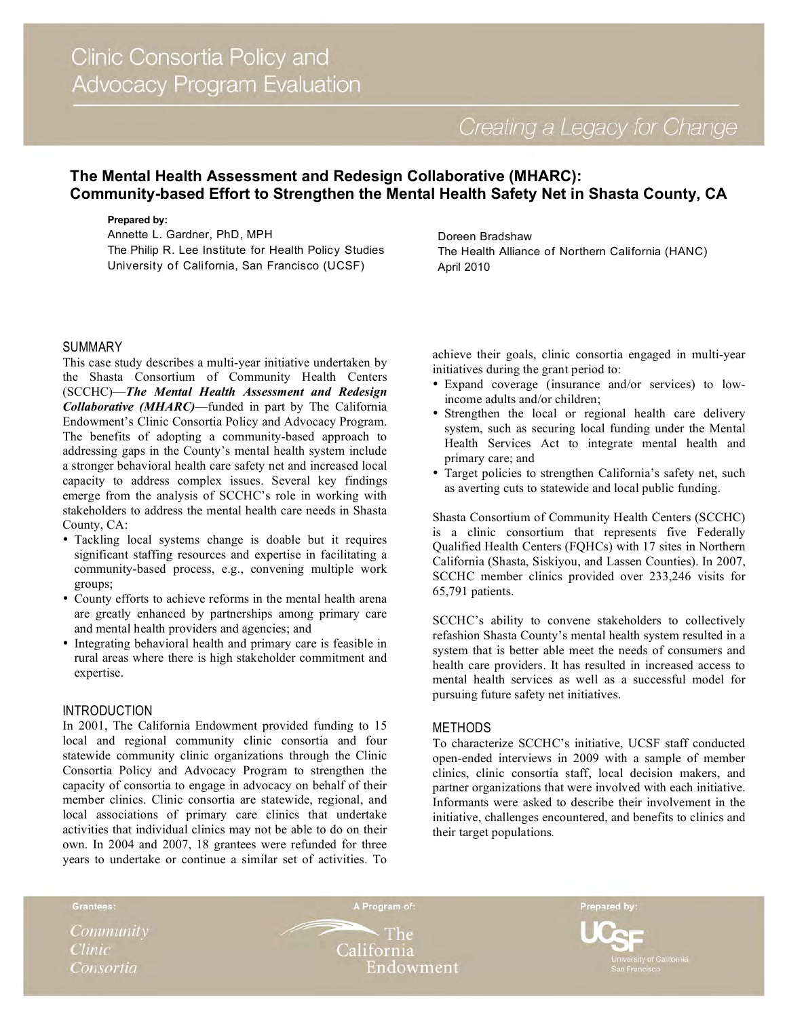# **The Mental Health Assessment and Redesign Collaborative (MHARC): Community-based Effort to Strengthen the Mental Health Safety Net in Shasta County, CA**

#### **Prepared by:**

Annette L. Gardner, PhD, MPH The Philip R. Lee Institute for Health Policy Studies University of California, San Francisco (UCSF)

Doreen Bradshaw The Health Alliance of Northern California (HANC) April 2010

## SUMMARY

This case study describes a multi-year initiative undertaken by the Shasta Consortium of Community Health Centers (SCCHC)—*The Mental Health Assessment and Redesign Collaborative (MHARC)*—funded in part by The California Endowment's Clinic Consortia Policy and Advocacy Program. The benefits of adopting a community-based approach to addressing gaps in the County's mental health system include a stronger behavioral health care safety net and increased local capacity to address complex issues. Several key findings emerge from the analysis of SCCHC's role in working with stakeholders to address the mental health care needs in Shasta County, CA:

- Tackling local systems change is doable but it requires significant staffing resources and expertise in facilitating a community-based process, e.g., convening multiple work groups;
- County efforts to achieve reforms in the mental health arena are greatly enhanced by partnerships among primary care and mental health providers and agencies; and
- Integrating behavioral health and primary care is feasible in rural areas where there is high stakeholder commitment and expertise.

## **INTRODUCTION**

In 2001, The California Endowment provided funding to 15 local and regional community clinic consortia and four statewide community clinic organizations through the Clinic Consortia Policy and Advocacy Program to strengthen the capacity of consortia to engage in advocacy on behalf of their member clinics. Clinic consortia are statewide, regional, and local associations of primary care clinics that undertake activities that individual clinics may not be able to do on their own. In 2004 and 2007, 18 grantees were refunded for three years to undertake or continue a similar set of activities. To

achieve their goals, clinic consortia engaged in multi-year initiatives during the grant period to:

- Expand coverage (insurance and/or services) to lowincome adults and/or children;
- Strengthen the local or regional health care delivery system, such as securing local funding under the Mental Health Services Act to integrate mental health and primary care; and
- Target policies to strengthen California's safety net, such as averting cuts to statewide and local public funding.

Shasta Consortium of Community Health Centers (SCCHC) is a clinic consortium that represents five Federally Qualified Health Centers (FQHCs) with 17 sites in Northern California (Shasta, Siskiyou, and Lassen Counties). In 2007, SCCHC member clinics provided over 233,246 visits for 65,791 patients.

SCCHC's ability to convene stakeholders to collectively refashion Shasta County's mental health system resulted in a system that is better able meet the needs of consumers and health care providers. It has resulted in increased access to mental health services as well as a successful model for pursuing future safety net initiatives.

## **METHODS**

To characterize SCCHC's initiative, UCSF staff conducted open-ended interviews in 2009 with a sample of member clinics, clinic consortia staff, local decision makers, and partner organizations that were involved with each initiative. Informants were asked to describe their involvement in the initiative, challenges encountered, and benefits to clinics and their target populations*.*

Community **Clinic** Consortia

Grantees:

The California Endowment

A Program of:

Prepared by: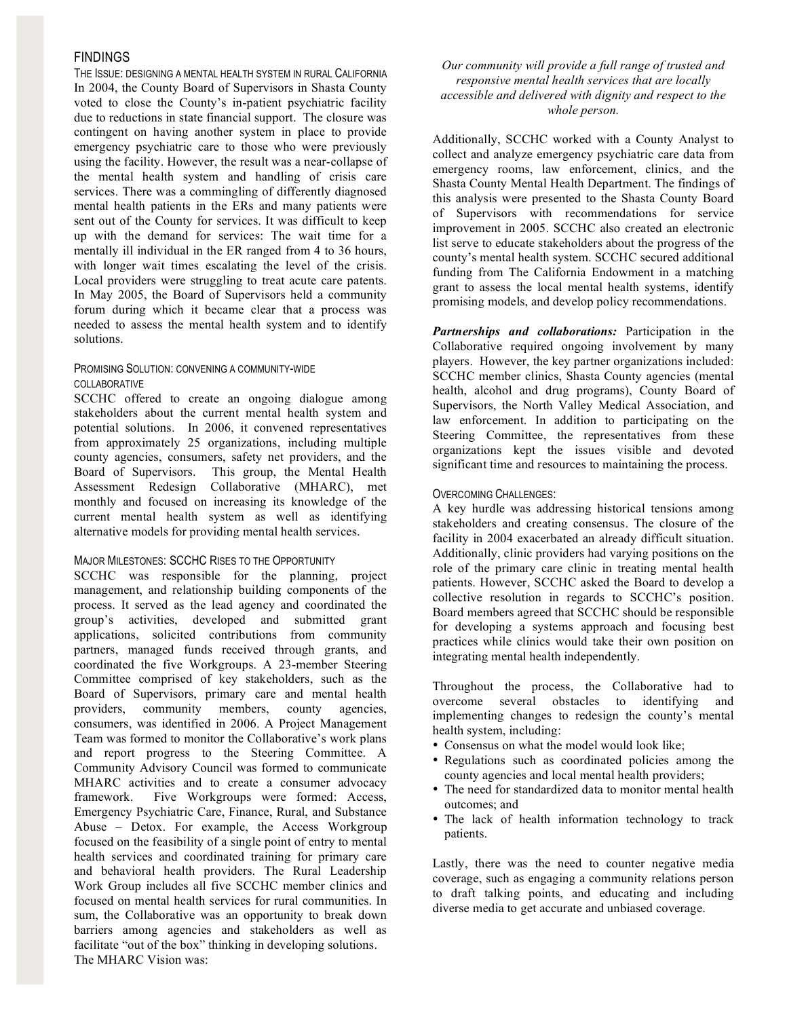### **FINDINGS**

THE ISSUE: DESIGNING A MENTAL HEALTH SYSTEM IN RURAL CALIFORNIA In 2004, the County Board of Supervisors in Shasta County voted to close the County's in-patient psychiatric facility due to reductions in state financial support. The closure was contingent on having another system in place to provide emergency psychiatric care to those who were previously using the facility. However, the result was a near-collapse of the mental health system and handling of crisis care services. There was a commingling of differently diagnosed mental health patients in the ERs and many patients were sent out of the County for services. It was difficult to keep up with the demand for services: The wait time for a mentally ill individual in the ER ranged from 4 to 36 hours, with longer wait times escalating the level of the crisis. Local providers were struggling to treat acute care patents. In May 2005, the Board of Supervisors held a community forum during which it became clear that a process was needed to assess the mental health system and to identify solutions.

## PROMISING SOLUTION: CONVENING A COMMUNITY-WIDE COLLABORATIVE

SCCHC offered to create an ongoing dialogue among stakeholders about the current mental health system and potential solutions. In 2006, it convened representatives from approximately 25 organizations, including multiple county agencies, consumers, safety net providers, and the Board of Supervisors. This group, the Mental Health Assessment Redesign Collaborative (MHARC), met monthly and focused on increasing its knowledge of the current mental health system as well as identifying alternative models for providing mental health services.

#### MAJOR MILESTONES: SCCHC RISES TO THE OPPORTUNITY

SCCHC was responsible for the planning, project management, and relationship building components of the process. It served as the lead agency and coordinated the group's activities, developed and submitted grant applications, solicited contributions from community partners, managed funds received through grants, and coordinated the five Workgroups. A 23-member Steering Committee comprised of key stakeholders, such as the Board of Supervisors, primary care and mental health providers, community members, county agencies, consumers, was identified in 2006. A Project Management Team was formed to monitor the Collaborative's work plans and report progress to the Steering Committee. A Community Advisory Council was formed to communicate MHARC activities and to create a consumer advocacy framework. Five Workgroups were formed: Access, Emergency Psychiatric Care, Finance, Rural, and Substance Abuse – Detox. For example, the Access Workgroup focused on the feasibility of a single point of entry to mental health services and coordinated training for primary care and behavioral health providers. The Rural Leadership Work Group includes all five SCCHC member clinics and focused on mental health services for rural communities. In sum, the Collaborative was an opportunity to break down barriers among agencies and stakeholders as well as facilitate "out of the box" thinking in developing solutions. The MHARC Vision was:

### *Our community will provide a full range of trusted and responsive mental health services that are locally accessible and delivered with dignity and respect to the whole person.*

Additionally, SCCHC worked with a County Analyst to collect and analyze emergency psychiatric care data from emergency rooms, law enforcement, clinics, and the Shasta County Mental Health Department. The findings of this analysis were presented to the Shasta County Board of Supervisors with recommendations for service improvement in 2005. SCCHC also created an electronic list serve to educate stakeholders about the progress of the county's mental health system. SCCHC secured additional funding from The California Endowment in a matching grant to assess the local mental health systems, identify promising models, and develop policy recommendations.

*Partnerships and collaborations:* Participation in the Collaborative required ongoing involvement by many players. However, the key partner organizations included: SCCHC member clinics, Shasta County agencies (mental health, alcohol and drug programs), County Board of Supervisors, the North Valley Medical Association, and law enforcement. In addition to participating on the Steering Committee, the representatives from these organizations kept the issues visible and devoted significant time and resources to maintaining the process.

#### OVERCOMING CHALLENGES:

A key hurdle was addressing historical tensions among stakeholders and creating consensus. The closure of the facility in 2004 exacerbated an already difficult situation. Additionally, clinic providers had varying positions on the role of the primary care clinic in treating mental health patients. However, SCCHC asked the Board to develop a collective resolution in regards to SCCHC's position. Board members agreed that SCCHC should be responsible for developing a systems approach and focusing best practices while clinics would take their own position on integrating mental health independently.

Throughout the process, the Collaborative had to overcome several obstacles to identifying and implementing changes to redesign the county's mental health system, including:

- Consensus on what the model would look like;
- Regulations such as coordinated policies among the county agencies and local mental health providers;
- The need for standardized data to monitor mental health outcomes; and
- The lack of health information technology to track patients.

Lastly, there was the need to counter negative media coverage, such as engaging a community relations person to draft talking points, and educating and including diverse media to get accurate and unbiased coverage.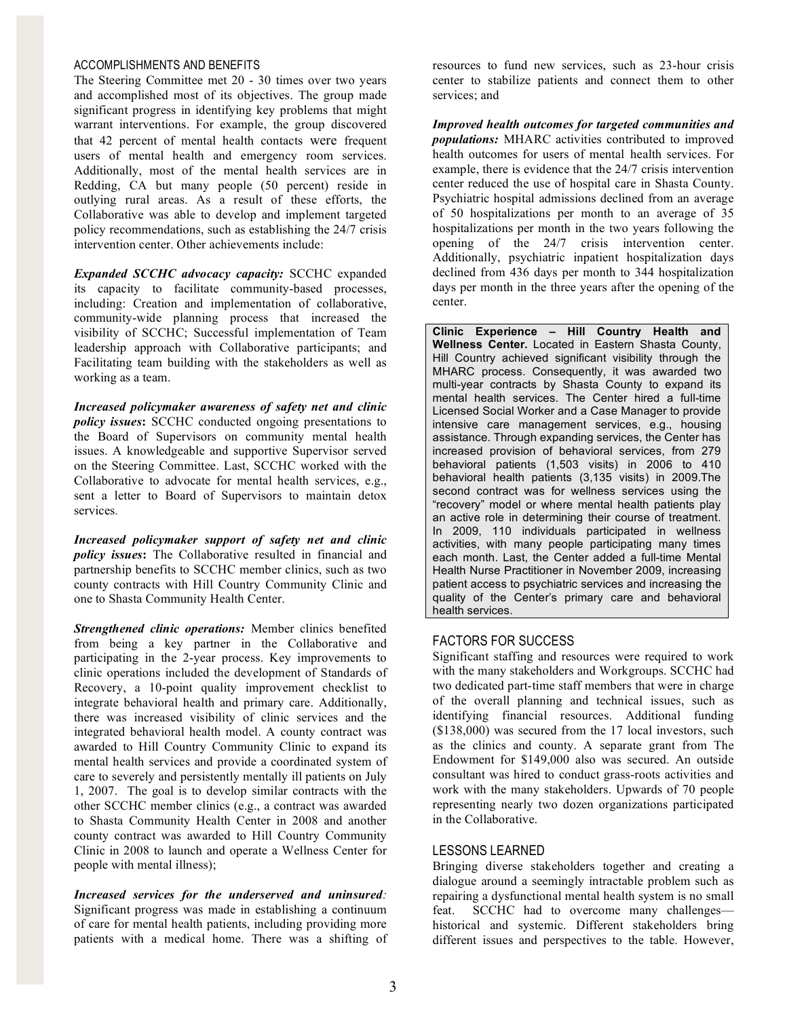### ACCOMPLISHMENTS AND BENEFITS

The Steering Committee met 20 - 30 times over two years and accomplished most of its objectives. The group made significant progress in identifying key problems that might warrant interventions. For example, the group discovered that 42 percent of mental health contacts were frequent users of mental health and emergency room services. Additionally, most of the mental health services are in Redding, CA but many people (50 percent) reside in outlying rural areas. As a result of these efforts, the Collaborative was able to develop and implement targeted policy recommendations, such as establishing the 24/7 crisis intervention center. Other achievements include:

*Expanded SCCHC advocacy capacity:* SCCHC expanded its capacity to facilitate community-based processes, including: Creation and implementation of collaborative, community-wide planning process that increased the visibility of SCCHC; Successful implementation of Team leadership approach with Collaborative participants; and Facilitating team building with the stakeholders as well as working as a team.

*Increased policymaker awareness of safety net and clinic policy issues***:** SCCHC conducted ongoing presentations to the Board of Supervisors on community mental health issues. A knowledgeable and supportive Supervisor served on the Steering Committee. Last, SCCHC worked with the Collaborative to advocate for mental health services, e.g., sent a letter to Board of Supervisors to maintain detox services*.*

*Increased policymaker support of safety net and clinic policy issues***:** The Collaborative resulted in financial and partnership benefits to SCCHC member clinics, such as two county contracts with Hill Country Community Clinic and one to Shasta Community Health Center.

*Strengthened clinic operations:* Member clinics benefited from being a key partner in the Collaborative and participating in the 2-year process. Key improvements to clinic operations included the development of Standards of Recovery, a 10-point quality improvement checklist to integrate behavioral health and primary care. Additionally, there was increased visibility of clinic services and the integrated behavioral health model. A county contract was awarded to Hill Country Community Clinic to expand its mental health services and provide a coordinated system of care to severely and persistently mentally ill patients on July 1, 2007. The goal is to develop similar contracts with the other SCCHC member clinics (e.g., a contract was awarded to Shasta Community Health Center in 2008 and another county contract was awarded to Hill Country Community Clinic in 2008 to launch and operate a Wellness Center for people with mental illness);

*Increased services for the underserved and uninsured:*  Significant progress was made in establishing a continuum of care for mental health patients, including providing more patients with a medical home. There was a shifting of resources to fund new services, such as 23-hour crisis center to stabilize patients and connect them to other services; and

*Improved health outcomes for targeted communities and populations:* MHARC activities contributed to improved health outcomes for users of mental health services. For example, there is evidence that the 24/7 crisis intervention center reduced the use of hospital care in Shasta County. Psychiatric hospital admissions declined from an average of 50 hospitalizations per month to an average of 35 hospitalizations per month in the two years following the opening of the 24/7 crisis intervention center. Additionally, psychiatric inpatient hospitalization days declined from 436 days per month to 344 hospitalization days per month in the three years after the opening of the center.

**Clinic Experience – Hill Country Health and Wellness Center.** Located in Eastern Shasta County, Hill Country achieved significant visibility through the MHARC process. Consequently, it was awarded two multi-year contracts by Shasta County to expand its mental health services. The Center hired a full-time Licensed Social Worker and a Case Manager to provide intensive care management services, e.g., housing assistance. Through expanding services, the Center has increased provision of behavioral services, from 279 behavioral patients (1,503 visits) in 2006 to 410 behavioral health patients (3,135 visits) in 2009.The second contract was for wellness services using the "recovery" model or where mental health patients play an active role in determining their course of treatment. In 2009, 110 individuals participated in wellness activities, with many people participating many times each month. Last, the Center added a full-time Mental Health Nurse Practitioner in November 2009, increasing patient access to psychiatric services and increasing the quality of the Center's primary care and behavioral health services.

## FACTORS FOR SUCCESS

Significant staffing and resources were required to work with the many stakeholders and Workgroups. SCCHC had two dedicated part-time staff members that were in charge of the overall planning and technical issues, such as identifying financial resources. Additional funding (\$138,000) was secured from the 17 local investors, such as the clinics and county. A separate grant from The Endowment for \$149,000 also was secured. An outside consultant was hired to conduct grass-roots activities and work with the many stakeholders. Upwards of 70 people representing nearly two dozen organizations participated in the Collaborative.

#### LESSONS LEARNED

Bringing diverse stakeholders together and creating a dialogue around a seemingly intractable problem such as repairing a dysfunctional mental health system is no small feat. SCCHC had to overcome many challenges historical and systemic. Different stakeholders bring different issues and perspectives to the table. However,